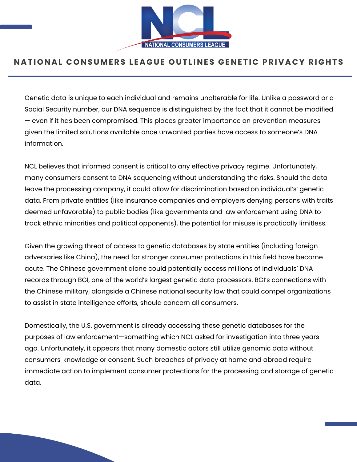

#### NATIONAL CONSUMERS LEAGUE OUTLINES GENETIC PRIVACY RIGHTS

Genetic data is unique to each individual and remains unalterable for life. Unlike a password or a Social Security number, our DNA sequence is distinguished by the fact that it cannot be modified — even if it has been compromised. This places greater importance on prevention measures given the limited solutions available once unwanted parties have access to someone's DNA information.

NCL believes that informed consent is critical to any effective privacy regime. Unfortunately, many consumers consent to DNA sequencing without understanding the risks. Should the data leave the processing company, it could allow for discrimination based on individual's' genetic data. From private entities (like insurance companies and employers denying persons with traits deemed unfavorable) to public bodies (like governments and law enforcement using DNA to track ethnic minorities and political opponents), the potential for misuse is practically limitless.

Given the growing threat of access to genetic databases by state entities (including foreign adversaries like China), the need for stronger consumer protections in this field have become acute. The Chinese government alone could potentially access millions of individuals' DNA records through BGI, one of the world's largest genetic data processors. BGI's connections with the Chinese military, alongside a Chinese national security law that could compel organizations to assist in state intelligence efforts, should concern all consumers.

Domestically, the U.S. government is already accessing these genetic databases for the purposes of law enforcement—something which NCL asked for [investigation](https://nclnet.org/familytree_dna/) into three years ago. Unfortunately, it appears that many domestic actors still utilize genomic data without consumers' knowledge or consent. Such breaches of privacy at home and abroad require immediate action to implement consumer protections for the processing and storage of genetic data.